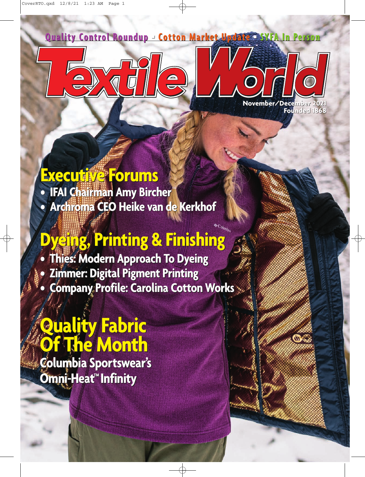**Quality Control Roundup** ■ **Cotton Market Update** ■ **Quality Control Roundup Cotton Market Update SYFA In Person SYFA In** 

 $\frac{\triangle}{\triangledown}$ 



O

 $\mathbf{O}$ 

## **Executive Forums Executive Forums**

**• IFAI Chairman Amy Bircher • IFAI Chairman Amy Bircher • Archroma CEO Heike van de Kerkhof • CEO Heike van de Kerkhof**

## **Dyeing, Printing & Finishing Dyeing, Printing & Finishing**

**• Thies: Modern Approach To Dyeing • Thies: Modern Approach To Dyeing • Zimmer: Digital Pigment Printing • Zimmer: Digital Pigment Printing • Company Profile: Carolina Cotton Works • Company Profile: Carolina Cotton Works**

# **Quality Fabric Quality Fabric Of The Month Of The Month**

**Columbia Sportswear's Columbia Sportswear's Omni-Heat™Infinity Omni-Heat™Infinity**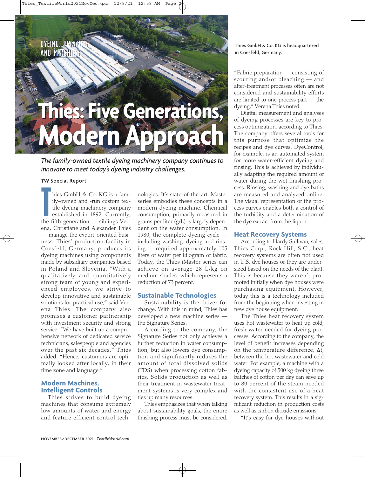**DYEING, PRINTING DYEING, PRINTING AND FINISHING AND FINISHING**

# **Thies: Five Generations, Thies: Five Generations, Modern Approach Modern Approach** This GmbH & Co. KG is a fam-<br> **This Condition** (The Condition of the tend of the tend of the condition of the condition of the condition of the set of the anti-<br> **This condition** and the set of the set of the set of the co

*The family-owned textile dyeing machinery company continues to innovate to meet today's dyeing industry challenges.*

#### *TW* Special Report

If the dyeing machinery company<br>the fifth generation — siblings Verhies GmbH & Co. KG is a family-owned and -run custom textile dyeing machinery company established in 1892. Currently, ena, Christiane and Alexander Thies — manage the export-oriented business. Thies' production facility in Coesfeld, Germany, produces its dyeing machines using components made by subsidiary companies based in Poland and Slovenia. "With a qualitatively and quantitatively strong team of young and experienced employees, we strive to develop innovative and sustainable solutions for practical use," said Verena Thies. The company also promises a customer partnership with investment security and strong service. "We have built up a comprehensive network of dedicated service technicians, salespeople and agencies over the past six decades," Thies added. "Hence, customers are optimally looked after locally, in their time zone and language."

## **Modern Machines, Intelligent Controls**

Thies strives to build dyeing machines that consume extremely low amounts of water and energy and feature efficient control technologies. It's state-of-the-art iMaster series embodies these concepts in a modern dyeing machine. Chemical consumption, primarily measured in grams per liter (g/L) is largely dependent on the water consumption. In 1980, the complete dyeing cycle including washing, dyeing and rinsing — required approximately 105 liters of water per kilogram of fabric. Today, the Thies iMaster series can achieve on average 28 L/kg on medium shades, which represents a reduction of 73 percent.

### **Sustainable Technologies**

Sustainability is the driver for change. With this in mind, Thies has developed a new machine series the Signature Series.

According to the company, the Signature Series not only achieves a further reduction in water consumption, but also lowers dye consumption and significantly reduces the amount of total dissolved solids (TDS) when processing cotton fabrics. Solids production as well as their treatment in wastewater treatment systems is very complex and ties up many resources.

Thies emphasizes that when talking about sustainability goals, the entire finishing process must be considered.

in Coesfeld, Germany.

"Fabric preparation — consisting of scouring and/or bleaching — and after-treatment processes often are not considered and sustainability efforts are limited to one process part — the dyeing," Verena Thies noted.

Digital measurement and analyses of dyeing processes are key to process optimization, according to Thies. The company offers several tools for this purpose that optimize the recipes and dye curves. DyeControl, for example, is an automated system for more water-efficient dyeing and rinsing. This is achieved by individually adapting the required amount of water during the wet finishing process. Rinsing, washing and dye baths are measured and analyzed online. The visual representation of the process curves enables both a control of the turbidity and a determination of the dye extract from the liquor.

#### **Heat Recovery Systems**

According to Hardy Sullivan, sales, Thies Corp., Rock Hill, S.C., heat recovery systems are often not used in U.S. dye houses or they are undersized based on the needs of the plant. This is because they weren't promoted initially when dye houses were purchasing equipment. However, today this is a technology included from the beginning when investing in new dye house equipment.

The Thies heat recovery system uses hot wastewater to heat up cold, fresh water needed for dyeing processes. According to the company, the level of benefit increases depending on the temperature difference, Δt, between the hot wastewater and cold water. For example, a machine with a dyeing capacity of 500 kg dyeing three batches of cotton per day can save up to 80 percent of the steam needed with the consistent use of a heat recovery system. This results in a significant reduction in production costs as well as carbon dioxide emissions.

"It's easy for dye houses without